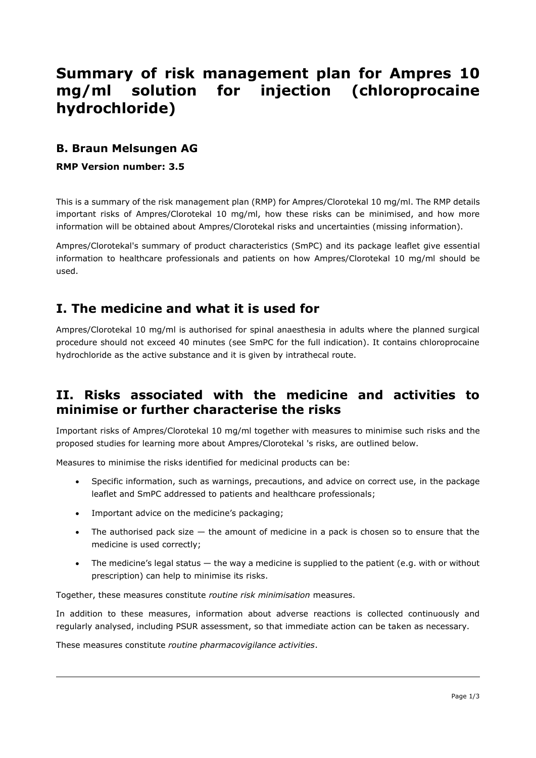# **Summary of risk management plan for Ampres 10 mg/ml solution for injection (chloroprocaine hydrochloride)**

# **B. Braun Melsungen AG**

#### **RMP Version number: 3.5**

This is a summary of the risk management plan (RMP) for Ampres/Clorotekal 10 mg/ml. The RMP details important risks of Ampres/Clorotekal 10 mg/ml, how these risks can be minimised, and how more information will be obtained about Ampres/Clorotekal risks and uncertainties (missing information).

Ampres/Clorotekal's summary of product characteristics (SmPC) and its package leaflet give essential information to healthcare professionals and patients on how Ampres/Clorotekal 10 mg/ml should be used.

# **I. The medicine and what it is used for**

Ampres/Clorotekal 10 mg/ml is authorised for spinal anaesthesia in adults where the planned surgical procedure should not exceed 40 minutes (see SmPC for the full indication). It contains chloroprocaine hydrochloride as the active substance and it is given by intrathecal route.

# **II. Risks associated with the medicine and activities to minimise or further characterise the risks**

Important risks of Ampres/Clorotekal 10 mg/ml together with measures to minimise such risks and the proposed studies for learning more about Ampres/Clorotekal 's risks, are outlined below.

Measures to minimise the risks identified for medicinal products can be:

- Specific information, such as warnings, precautions, and advice on correct use, in the package leaflet and SmPC addressed to patients and healthcare professionals;
- Important advice on the medicine's packaging;
- The authorised pack size  $-$  the amount of medicine in a pack is chosen so to ensure that the medicine is used correctly;
- The medicine's legal status the way a medicine is supplied to the patient (e.g. with or without prescription) can help to minimise its risks.

Together, these measures constitute *routine risk minimisation* measures.

In addition to these measures, information about adverse reactions is collected continuously and regularly analysed, including PSUR assessment, so that immediate action can be taken as necessary.

These measures constitute *routine pharmacovigilance activities*.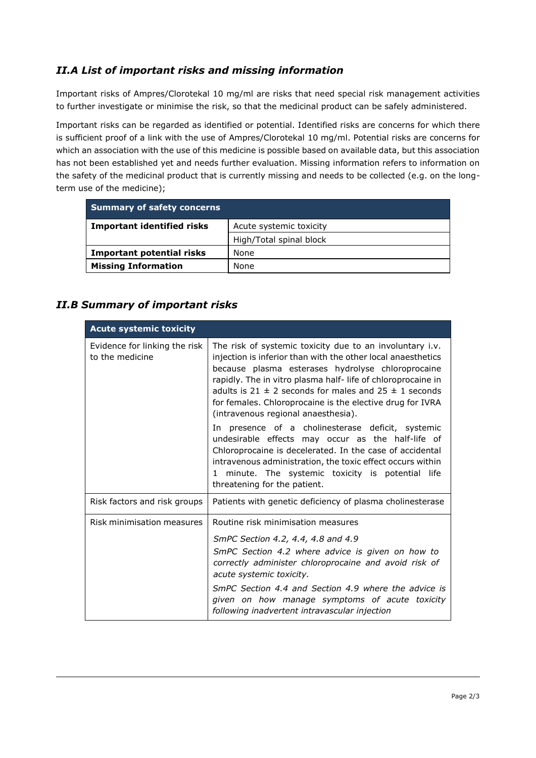## *II.A List of important risks and missing information*

Important risks of Ampres/Clorotekal 10 mg/ml are risks that need special risk management activities to further investigate or minimise the risk, so that the medicinal product can be safely administered.

Important risks can be regarded as identified or potential. Identified risks are concerns for which there is sufficient proof of a link with the use of Ampres/Clorotekal 10 mg/ml. Potential risks are concerns for which an association with the use of this medicine is possible based on available data, but this association has not been established yet and needs further evaluation. Missing information refers to information on the safety of the medicinal product that is currently missing and needs to be collected (e.g. on the longterm use of the medicine);

| <b>Summary of safety concerns</b> |                         |
|-----------------------------------|-------------------------|
| <b>Important identified risks</b> | Acute systemic toxicity |
|                                   | High/Total spinal block |
| Important potential risks         | None                    |
| <b>Missing Information</b>        | None                    |

### *II.B Summary of important risks*

| <b>Acute systemic toxicity</b>                   |                                                                                                                                                                                                                                                                                                                                                                                                                   |
|--------------------------------------------------|-------------------------------------------------------------------------------------------------------------------------------------------------------------------------------------------------------------------------------------------------------------------------------------------------------------------------------------------------------------------------------------------------------------------|
| Evidence for linking the risk<br>to the medicine | The risk of systemic toxicity due to an involuntary i.v.<br>injection is inferior than with the other local anaesthetics<br>because plasma esterases hydrolyse chloroprocaine<br>rapidly. The in vitro plasma half-life of chloroprocaine in<br>adults is 21 $\pm$ 2 seconds for males and 25 $\pm$ 1 seconds<br>for females. Chloroprocaine is the elective drug for IVRA<br>(intravenous regional anaesthesia). |
|                                                  | In presence of a cholinesterase deficit, systemic<br>undesirable effects may occur as the half-life of<br>Chloroprocaine is decelerated. In the case of accidental<br>intravenous administration, the toxic effect occurs within<br>minute. The systemic toxicity is potential life<br>1.<br>threatening for the patient.                                                                                         |
| Risk factors and risk groups                     | Patients with genetic deficiency of plasma cholinesterase                                                                                                                                                                                                                                                                                                                                                         |
| Risk minimisation measures                       | Routine risk minimisation measures                                                                                                                                                                                                                                                                                                                                                                                |
|                                                  | SmPC Section 4.2, 4.4, 4.8 and 4.9<br>SmPC Section 4.2 where advice is given on how to<br>correctly administer chloroprocaine and avoid risk of<br>acute systemic toxicity.<br>SmPC Section 4.4 and Section 4.9 where the advice is<br>given on how manage symptoms of acute toxicity<br>following inadvertent intravascular injection                                                                            |